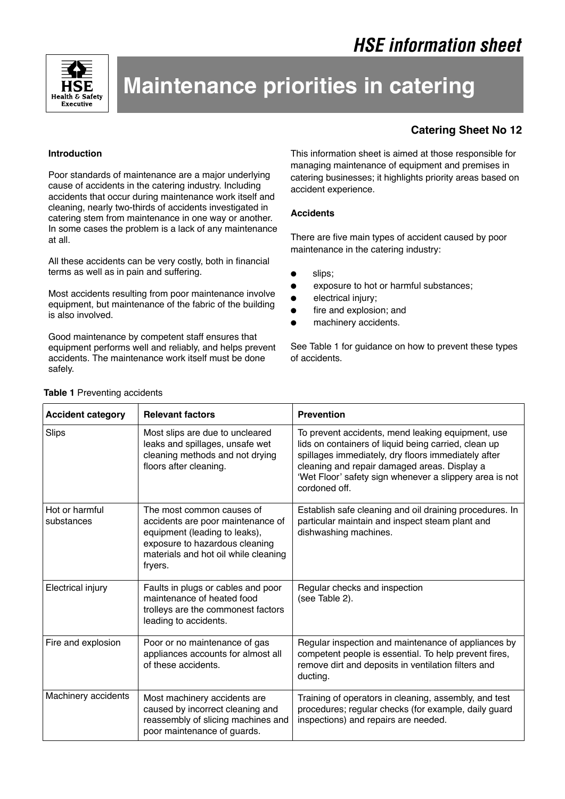

# **Maintenance priorities in catering**

# **Catering Sheet No 12**

# **Introduction**

Poor standards of maintenance are a major underlying cause of accidents in the catering industry. Including accidents that occur during maintenance work itself and cleaning, nearly two-thirds of accidents investigated in catering stem from maintenance in one way or another. In some cases the problem is a lack of any maintenance at all.

All these accidents can be very costly, both in financial terms as well as in pain and suffering.

Most accidents resulting from poor maintenance involve equipment, but maintenance of the fabric of the building is also involved.

Good maintenance by competent staff ensures that equipment performs well and reliably, and helps prevent accidents. The maintenance work itself must be done safely.

This information sheet is aimed at those responsible for managing maintenance of equipment and premises in catering businesses; it highlights priority areas based on accident experience.

# **Accidents**

There are five main types of accident caused by poor maintenance in the catering industry:

- slips;
- exposure to hot or harmful substances;
- electrical injury;
- fire and explosion; and
- machinery accidents.

See Table 1 for guidance on how to prevent these types of accidents.

| <b>Accident category</b>     | <b>Relevant factors</b>                                                                                                                                                              | <b>Prevention</b>                                                                                                                                                                                                                                                                            |
|------------------------------|--------------------------------------------------------------------------------------------------------------------------------------------------------------------------------------|----------------------------------------------------------------------------------------------------------------------------------------------------------------------------------------------------------------------------------------------------------------------------------------------|
| Slips                        | Most slips are due to uncleared<br>leaks and spillages, unsafe wet<br>cleaning methods and not drying<br>floors after cleaning.                                                      | To prevent accidents, mend leaking equipment, use<br>lids on containers of liquid being carried, clean up<br>spillages immediately, dry floors immediately after<br>cleaning and repair damaged areas. Display a<br>'Wet Floor' safety sign whenever a slippery area is not<br>cordoned off. |
| Hot or harmful<br>substances | The most common causes of<br>accidents are poor maintenance of<br>equipment (leading to leaks),<br>exposure to hazardous cleaning<br>materials and hot oil while cleaning<br>fryers. | Establish safe cleaning and oil draining procedures. In<br>particular maintain and inspect steam plant and<br>dishwashing machines.                                                                                                                                                          |
| Electrical injury            | Faults in plugs or cables and poor<br>maintenance of heated food<br>trolleys are the commonest factors<br>leading to accidents.                                                      | Regular checks and inspection<br>(see Table 2).                                                                                                                                                                                                                                              |
| Fire and explosion           | Poor or no maintenance of gas<br>appliances accounts for almost all<br>of these accidents.                                                                                           | Regular inspection and maintenance of appliances by<br>competent people is essential. To help prevent fires,<br>remove dirt and deposits in ventilation filters and<br>ducting.                                                                                                              |
| Machinery accidents          | Most machinery accidents are<br>caused by incorrect cleaning and<br>reassembly of slicing machines and<br>poor maintenance of guards.                                                | Training of operators in cleaning, assembly, and test<br>procedures; regular checks (for example, daily guard<br>inspections) and repairs are needed.                                                                                                                                        |

#### **Table 1** Preventing accidents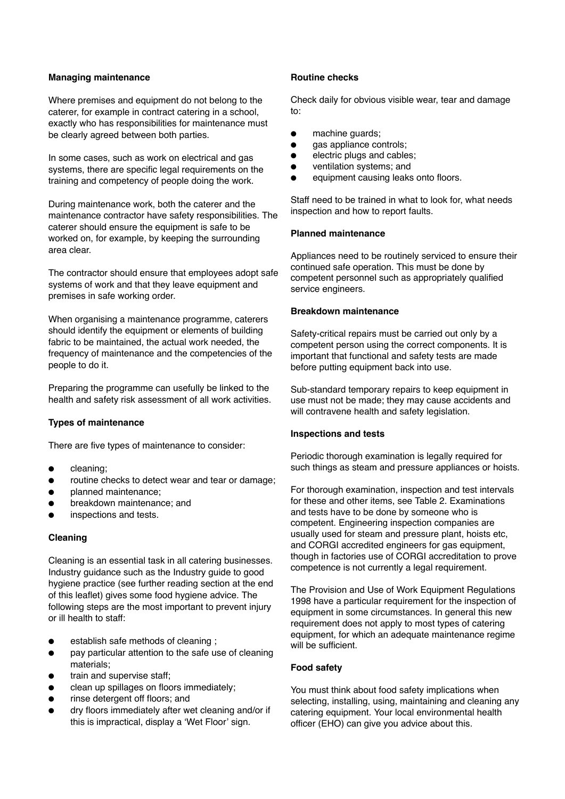#### **Managing maintenance**

Where premises and equipment do not belong to the caterer, for example in contract catering in a school, exactly who has responsibilities for maintenance must be clearly agreed between both parties.

In some cases, such as work on electrical and gas systems, there are specific legal requirements on the training and competency of people doing the work.

During maintenance work, both the caterer and the maintenance contractor have safety responsibilities. The caterer should ensure the equipment is safe to be worked on, for example, by keeping the surrounding area clear.

The contractor should ensure that employees adopt safe systems of work and that they leave equipment and premises in safe working order.

When organising a maintenance programme, caterers should identify the equipment or elements of building fabric to be maintained, the actual work needed, the frequency of maintenance and the competencies of the people to do it.

Preparing the programme can usefully be linked to the health and safety risk assessment of all work activities.

# **Types of maintenance**

There are five types of maintenance to consider:

- cleaning;
- routine checks to detect wear and tear or damage;
- planned maintenance;
- breakdown maintenance; and
- inspections and tests.

# **Cleaning**

Cleaning is an essential task in all catering businesses. Industry guidance such as the Industry guide to good hygiene practice (see further reading section at the end of this leaflet) gives some food hygiene advice. The following steps are the most important to prevent injury or ill health to staff:

- establish safe methods of cleaning ;
- pay particular attention to the safe use of cleaning materials;
- train and supervise staff;
- clean up spillages on floors immediately;
- rinse detergent off floors; and
- dry floors immediately after wet cleaning and/or if this is impractical, display a 'Wet Floor' sign.

#### **Routine checks**

Check daily for obvious visible wear, tear and damage to:

- machine quards:
- qas appliance controls:
- electric plugs and cables;
- ventilation systems; and
- equipment causing leaks onto floors.

Staff need to be trained in what to look for, what needs inspection and how to report faults.

#### **Planned maintenance**

Appliances need to be routinely serviced to ensure their continued safe operation. This must be done by competent personnel such as appropriately qualified service engineers.

#### **Breakdown maintenance**

Safety-critical repairs must be carried out only by a competent person using the correct components. It is important that functional and safety tests are made before putting equipment back into use.

Sub-standard temporary repairs to keep equipment in use must not be made; they may cause accidents and will contravene health and safety legislation.

#### **Inspections and tests**

Periodic thorough examination is legally required for such things as steam and pressure appliances or hoists.

For thorough examination, inspection and test intervals for these and other items, see Table 2. Examinations and tests have to be done by someone who is competent. Engineering inspection companies are usually used for steam and pressure plant, hoists etc, and CORGI accredited engineers for gas equipment, though in factories use of CORGI accreditation to prove competence is not currently a legal requirement.

The Provision and Use of Work Equipment Regulations 1998 have a particular requirement for the inspection of equipment in some circumstances. In general this new requirement does not apply to most types of catering equipment, for which an adequate maintenance regime will be sufficient.

#### **Food safety**

You must think about food safety implications when selecting, installing, using, maintaining and cleaning any catering equipment. Your local environmental health officer (EHO) can give you advice about this.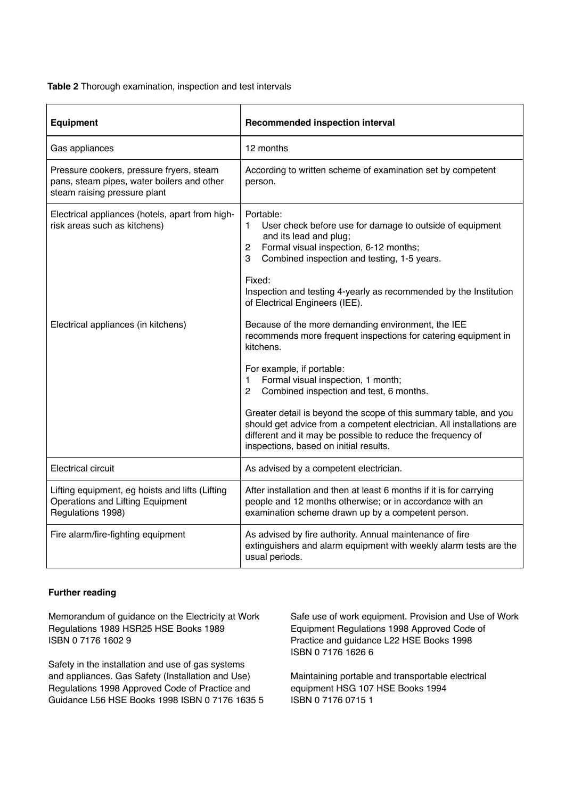#### **Table 2** Thorough examination, inspection and test intervals

| <b>Equipment</b>                                                                                                       | <b>Recommended inspection interval</b>                                                                                                                                                                                                                                                                                                                                                                                                                                                                                                  |
|------------------------------------------------------------------------------------------------------------------------|-----------------------------------------------------------------------------------------------------------------------------------------------------------------------------------------------------------------------------------------------------------------------------------------------------------------------------------------------------------------------------------------------------------------------------------------------------------------------------------------------------------------------------------------|
| Gas appliances                                                                                                         | 12 months                                                                                                                                                                                                                                                                                                                                                                                                                                                                                                                               |
| Pressure cookers, pressure fryers, steam<br>pans, steam pipes, water boilers and other<br>steam raising pressure plant | According to written scheme of examination set by competent<br>person.                                                                                                                                                                                                                                                                                                                                                                                                                                                                  |
| Electrical appliances (hotels, apart from high-<br>risk areas such as kitchens)                                        | Portable:<br>User check before use for damage to outside of equipment<br>$\mathbf{1}$<br>and its lead and plug;<br>Formal visual inspection, 6-12 months;<br>$\overline{2}$<br>Combined inspection and testing, 1-5 years.<br>3<br>Fixed:<br>Inspection and testing 4-yearly as recommended by the Institution<br>of Electrical Engineers (IEE).                                                                                                                                                                                        |
| Electrical appliances (in kitchens)                                                                                    | Because of the more demanding environment, the IEE<br>recommends more frequent inspections for catering equipment in<br>kitchens.<br>For example, if portable:<br>Formal visual inspection, 1 month;<br>$\mathbf{1}$<br>Combined inspection and test, 6 months.<br>$\mathcal{P}$<br>Greater detail is beyond the scope of this summary table, and you<br>should get advice from a competent electrician. All installations are<br>different and it may be possible to reduce the frequency of<br>inspections, based on initial results. |
| Electrical circuit                                                                                                     | As advised by a competent electrician.                                                                                                                                                                                                                                                                                                                                                                                                                                                                                                  |
| Lifting equipment, eg hoists and lifts (Lifting<br>Operations and Lifting Equipment<br>Regulations 1998)               | After installation and then at least 6 months if it is for carrying<br>people and 12 months otherwise; or in accordance with an<br>examination scheme drawn up by a competent person.                                                                                                                                                                                                                                                                                                                                                   |
| Fire alarm/fire-fighting equipment                                                                                     | As advised by fire authority. Annual maintenance of fire<br>extinguishers and alarm equipment with weekly alarm tests are the<br>usual periods.                                                                                                                                                                                                                                                                                                                                                                                         |

#### **Further reading**

Memorandum of guidance on the Electricity at Work Regulations 1989 HSR25 HSE Books 1989 ISBN 0 7176 1602 9

Safety in the installation and use of gas systems and appliances. Gas Safety (Installation and Use) Regulations 1998 Approved Code of Practice and Guidance L56 HSE Books 1998 ISBN 0 7176 1635 5 Safe use of work equipment. Provision and Use of Work Equipment Regulations 1998 Approved Code of Practice and guidance L22 HSE Books 1998 ISBN 0 7176 1626 6

Maintaining portable and transportable electrical equipment HSG 107 HSE Books 1994 ISBN 0 7176 0715 1